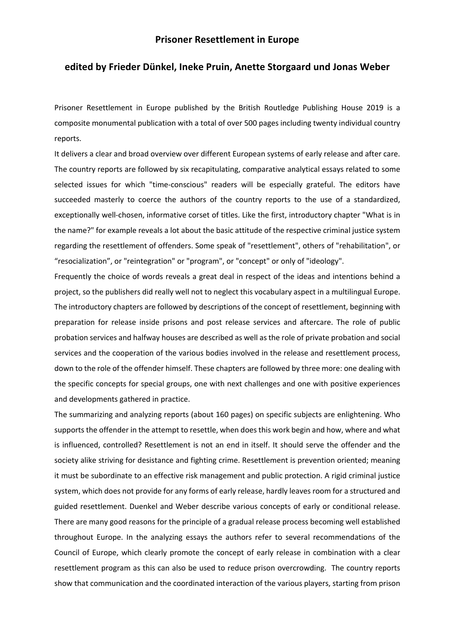## **Prisoner Resettlement in Europe**

## **edited by Frieder Dünkel, Ineke Pruin, Anette Storgaard und Jonas Weber**

Prisoner Resettlement in Europe published by the British Routledge Publishing House 2019 is a composite monumental publication with a total of over 500 pages including twenty individual country reports.

It delivers a clear and broad overview over different European systems of early release and after care. The country reports are followed by six recapitulating, comparative analytical essays related to some selected issues for which "time-conscious" readers will be especially grateful. The editors have succeeded masterly to coerce the authors of the country reports to the use of a standardized, exceptionally well-chosen, informative corset of titles. Like the first, introductory chapter "What is in the name?" for example reveals a lot about the basic attitude of the respective criminal justice system regarding the resettlement of offenders. Some speak of "resettlement", others of "rehabilitation", or "resocialization", or "reintegration" or "program", or "concept" or only of "ideology".

Frequently the choice of words reveals a great deal in respect of the ideas and intentions behind a project, so the publishers did really well not to neglect this vocabulary aspect in a multilingual Europe. The introductory chapters are followed by descriptions of the concept of resettlement, beginning with preparation for release inside prisons and post release services and aftercare. The role of public probation services and halfway houses are described as well as the role of private probation and social services and the cooperation of the various bodies involved in the release and resettlement process, down to the role of the offender himself. These chapters are followed by three more: one dealing with the specific concepts for special groups, one with next challenges and one with positive experiences and developments gathered in practice.

The summarizing and analyzing reports (about 160 pages) on specific subjects are enlightening. Who supports the offender in the attempt to resettle, when does this work begin and how, where and what is influenced, controlled? Resettlement is not an end in itself. It should serve the offender and the society alike striving for desistance and fighting crime. Resettlement is prevention oriented; meaning it must be subordinate to an effective risk management and public protection. A rigid criminal justice system, which does not provide for any forms of early release, hardly leaves room for a structured and guided resettlement. Duenkel and Weber describe various concepts of early or conditional release. There are many good reasons for the principle of a gradual release process becoming well established throughout Europe. In the analyzing essays the authors refer to several recommendations of the Council of Europe, which clearly promote the concept of early release in combination with a clear resettlement program as this can also be used to reduce prison overcrowding. The country reports show that communication and the coordinated interaction of the various players, starting from prison